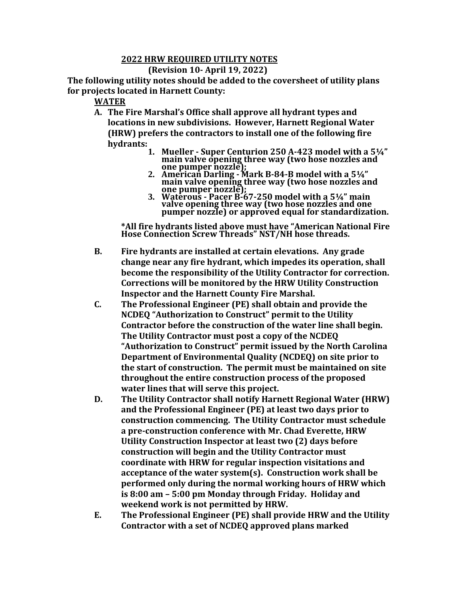## **2022 HRW REQUIRED UTILITY NOTES**

## **(Revision 10- April 19, 2022)**

**The following utility notes should be added to the coversheet of utility plans for projects located in Harnett County:**

## **WATER**

- **A. The Fire Marshal's Office shall approve all hydrant types and locations in new subdivisions. However, Harnett Regional Water (HRW) prefers the contractors to install one of the following fire hydrants:** 
	- **1. Mueller - Super Centurion 250 A-423 model with a 5¼" main valve opening three way (two hose nozzles and one pumper nozzle);**
	- **2. American Darling - Mark B-84-B model with a 5¼" main valve opening three way (two hose nozzles and one pumper nozzle);**
	- **3. Waterous - Pacer B-67-250 model with a 5¼" main valve opening three way (two hose nozzles and one pumper nozzle) or approved equal for standardization.**

**\*All fire hydrants listed above must have "American National Fire Hose Connection Screw Threads" NST/NH hose threads.**

- **B. Fire hydrants are installed at certain elevations. Any grade change near any fire hydrant, which impedes its operation, shall become the responsibility of the Utility Contractor for correction. Corrections will be monitored by the HRW Utility Construction Inspector and the Harnett County Fire Marshal.**
- **C. The Professional Engineer (PE) shall obtain and provide the NCDEQ "Authorization to Construct" permit to the Utility Contractor before the construction of the water line shall begin. The Utility Contractor must post a copy of the NCDEQ "Authorization to Construct" permit issued by the North Carolina Department of Environmental Quality (NCDEQ) on site prior to the start of construction. The permit must be maintained on site throughout the entire construction process of the proposed water lines that will serve this project.**
- **D. The Utility Contractor shall notify Harnett Regional Water (HRW) and the Professional Engineer (PE) at least two days prior to construction commencing. The Utility Contractor must schedule a pre-construction conference with Mr. Chad Everette, HRW Utility Construction Inspector at least two (2) days before construction will begin and the Utility Contractor must coordinate with HRW for regular inspection visitations and acceptance of the water system(s). Construction work shall be performed only during the normal working hours of HRW which is 8:00 am – 5:00 pm Monday through Friday. Holiday and weekend work is not permitted by HRW.**
- **E. The Professional Engineer (PE) shall provide HRW and the Utility Contractor with a set of NCDEQ approved plans marked**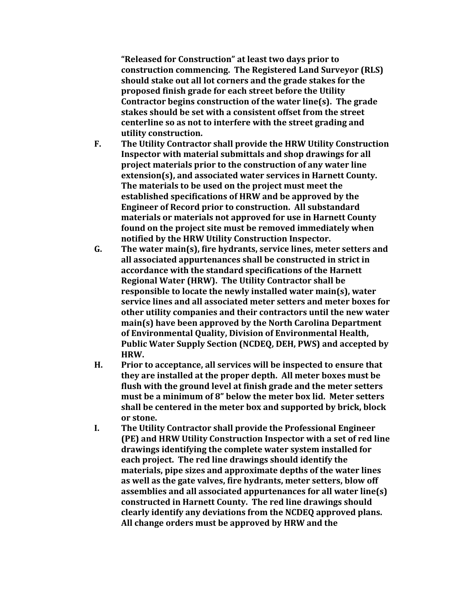**"Released for Construction" at least two days prior to construction commencing. The Registered Land Surveyor (RLS) should stake out all lot corners and the grade stakes for the proposed finish grade for each street before the Utility Contractor begins construction of the water line(s). The grade stakes should be set with a consistent offset from the street centerline so as not to interfere with the street grading and utility construction.**

- **F. The Utility Contractor shall provide the HRW Utility Construction Inspector with material submittals and shop drawings for all project materials prior to the construction of any water line extension(s), and associated water services in Harnett County. The materials to be used on the project must meet the established specifications of HRW and be approved by the Engineer of Record prior to construction. All substandard materials or materials not approved for use in Harnett County found on the project site must be removed immediately when notified by the HRW Utility Construction Inspector.**
- **G. The water main(s), fire hydrants, service lines, meter setters and all associated appurtenances shall be constructed in strict in accordance with the standard specifications of the Harnett Regional Water (HRW). The Utility Contractor shall be responsible to locate the newly installed water main(s), water service lines and all associated meter setters and meter boxes for other utility companies and their contractors until the new water main(s) have been approved by the North Carolina Department of Environmental Quality, Division of Environmental Health, Public Water Supply Section (NCDEQ, DEH, PWS) and accepted by HRW.**
- **H. Prior to acceptance, all services will be inspected to ensure that they are installed at the proper depth. All meter boxes must be flush with the ground level at finish grade and the meter setters must be a minimum of 8" below the meter box lid. Meter setters shall be centered in the meter box and supported by brick, block or stone.**
- **I. The Utility Contractor shall provide the Professional Engineer (PE) and HRW Utility Construction Inspector with a set of red line drawings identifying the complete water system installed for each project. The red line drawings should identify the materials, pipe sizes and approximate depths of the water lines as well as the gate valves, fire hydrants, meter setters, blow off assemblies and all associated appurtenances for all water line(s) constructed in Harnett County. The red line drawings should clearly identify any deviations from the NCDEQ approved plans. All change orders must be approved by HRW and the**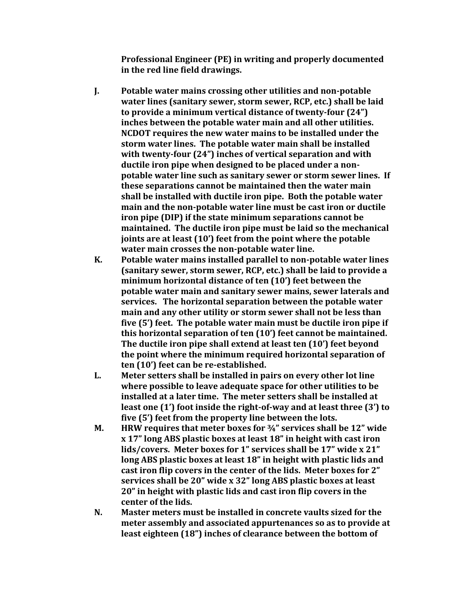**Professional Engineer (PE) in writing and properly documented in the red line field drawings.**

- **J. Potable water mains crossing other utilities and non-potable water lines (sanitary sewer, storm sewer, RCP, etc.) shall be laid to provide a minimum vertical distance of twenty-four (24") inches between the potable water main and all other utilities. NCDOT requires the new water mains to be installed under the storm water lines. The potable water main shall be installed with twenty-four (24") inches of vertical separation and with ductile iron pipe when designed to be placed under a nonpotable water line such as sanitary sewer or storm sewer lines. If these separations cannot be maintained then the water main shall be installed with ductile iron pipe. Both the potable water main and the non-potable water line must be cast iron or ductile iron pipe (DIP) if the state minimum separations cannot be maintained. The ductile iron pipe must be laid so the mechanical joints are at least (10') feet from the point where the potable water main crosses the non-potable water line.**
- **K. Potable water mains installed parallel to non-potable water lines (sanitary sewer, storm sewer, RCP, etc.) shall be laid to provide a minimum horizontal distance of ten (10') feet between the potable water main and sanitary sewer mains, sewer laterals and services. The horizontal separation between the potable water main and any other utility or storm sewer shall not be less than five (5') feet. The potable water main must be ductile iron pipe if this horizontal separation of ten (10') feet cannot be maintained. The ductile iron pipe shall extend at least ten (10') feet beyond the point where the minimum required horizontal separation of ten (10') feet can be re-established.**
- **L. Meter setters shall be installed in pairs on every other lot line where possible to leave adequate space for other utilities to be installed at a later time. The meter setters shall be installed at least one (1') foot inside the right-of-way and at least three (3') to five (5') feet from the property line between the lots.**
- **M. HRW requires that meter boxes for ¾" services shall be 12" wide x 17" long ABS plastic boxes at least 18" in height with cast iron lids/covers. Meter boxes for 1" services shall be 17" wide x 21" long ABS plastic boxes at least 18" in height with plastic lids and cast iron flip covers in the center of the lids. Meter boxes for 2" services shall be 20" wide x 32" long ABS plastic boxes at least 20" in height with plastic lids and cast iron flip covers in the center of the lids.**
- **N. Master meters must be installed in concrete vaults sized for the meter assembly and associated appurtenances so as to provide at least eighteen (18") inches of clearance between the bottom of**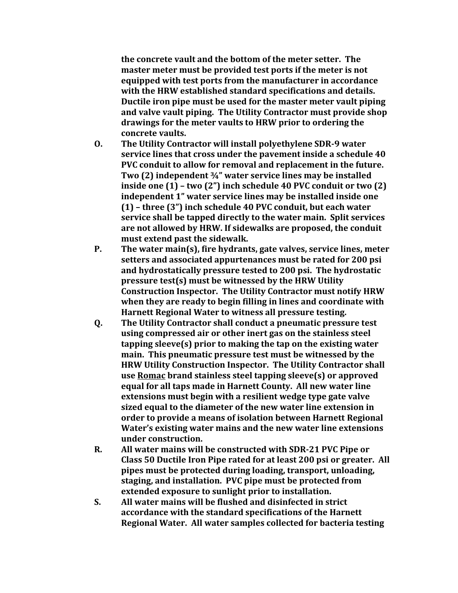**the concrete vault and the bottom of the meter setter. The master meter must be provided test ports if the meter is not equipped with test ports from the manufacturer in accordance with the HRW established standard specifications and details. Ductile iron pipe must be used for the master meter vault piping and valve vault piping. The Utility Contractor must provide shop drawings for the meter vaults to HRW prior to ordering the concrete vaults.**

- **O. The Utility Contractor will install polyethylene SDR-9 water service lines that cross under the pavement inside a schedule 40 PVC conduit to allow for removal and replacement in the future. Two (2) independent ¾" water service lines may be installed inside one (1) – two (2") inch schedule 40 PVC conduit or two (2) independent 1" water service lines may be installed inside one (1) – three (3") inch schedule 40 PVC conduit, but each water service shall be tapped directly to the water main. Split services are not allowed by HRW. If sidewalks are proposed, the conduit must extend past the sidewalk.**
- **P. The water main(s), fire hydrants, gate valves, service lines, meter setters and associated appurtenances must be rated for 200 psi and hydrostatically pressure tested to 200 psi. The hydrostatic pressure test(s) must be witnessed by the HRW Utility Construction Inspector. The Utility Contractor must notify HRW when they are ready to begin filling in lines and coordinate with Harnett Regional Water to witness all pressure testing.**
- **Q. The Utility Contractor shall conduct a pneumatic pressure test using compressed air or other inert gas on the stainless steel tapping sleeve(s) prior to making the tap on the existing water main. This pneumatic pressure test must be witnessed by the HRW Utility Construction Inspector. The Utility Contractor shall use Romac brand stainless steel tapping sleeve(s) or approved equal for all taps made in Harnett County. All new water line extensions must begin with a resilient wedge type gate valve sized equal to the diameter of the new water line extension in order to provide a means of isolation between Harnett Regional Water's existing water mains and the new water line extensions under construction.**
- **R. All water mains will be constructed with SDR-21 PVC Pipe or Class 50 Ductile Iron Pipe rated for at least 200 psi or greater. All pipes must be protected during loading, transport, unloading, staging, and installation. PVC pipe must be protected from extended exposure to sunlight prior to installation.**
- **S. All water mains will be flushed and disinfected in strict accordance with the standard specifications of the Harnett Regional Water. All water samples collected for bacteria testing**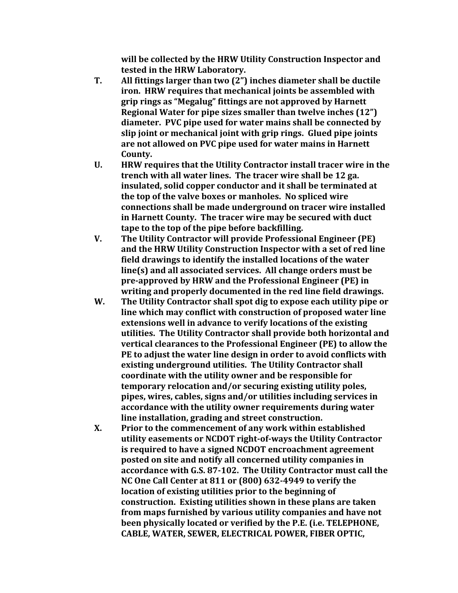**will be collected by the HRW Utility Construction Inspector and tested in the HRW Laboratory.** 

- **T. All fittings larger than two (2") inches diameter shall be ductile iron. HRW requires that mechanical joints be assembled with grip rings as "Megalug" fittings are not approved by Harnett Regional Water for pipe sizes smaller than twelve inches (12") diameter. PVC pipe used for water mains shall be connected by slip joint or mechanical joint with grip rings. Glued pipe joints are not allowed on PVC pipe used for water mains in Harnett County.**
- **U. HRW requires that the Utility Contractor install tracer wire in the trench with all water lines. The tracer wire shall be 12 ga. insulated, solid copper conductor and it shall be terminated at the top of the valve boxes or manholes. No spliced wire connections shall be made underground on tracer wire installed in Harnett County. The tracer wire may be secured with duct tape to the top of the pipe before backfilling.**
- **V. The Utility Contractor will provide Professional Engineer (PE) and the HRW Utility Construction Inspector with a set of red line field drawings to identify the installed locations of the water line(s) and all associated services. All change orders must be pre-approved by HRW and the Professional Engineer (PE) in writing and properly documented in the red line field drawings.**
- **W. The Utility Contractor shall spot dig to expose each utility pipe or line which may conflict with construction of proposed water line extensions well in advance to verify locations of the existing utilities. The Utility Contractor shall provide both horizontal and vertical clearances to the Professional Engineer (PE) to allow the PE to adjust the water line design in order to avoid conflicts with existing underground utilities. The Utility Contractor shall coordinate with the utility owner and be responsible for temporary relocation and/or securing existing utility poles, pipes, wires, cables, signs and/or utilities including services in accordance with the utility owner requirements during water line installation, grading and street construction.**
- **X. Prior to the commencement of any work within established utility easements or NCDOT right-of-ways the Utility Contractor is required to have a signed NCDOT encroachment agreement posted on site and notify all concerned utility companies in accordance with G.S. 87-102. The Utility Contractor must call the NC One Call Center at 811 or (800) 632-4949 to verify the location of existing utilities prior to the beginning of construction. Existing utilities shown in these plans are taken from maps furnished by various utility companies and have not been physically located or verified by the P.E. (i.e. TELEPHONE, CABLE, WATER, SEWER, ELECTRICAL POWER, FIBER OPTIC,**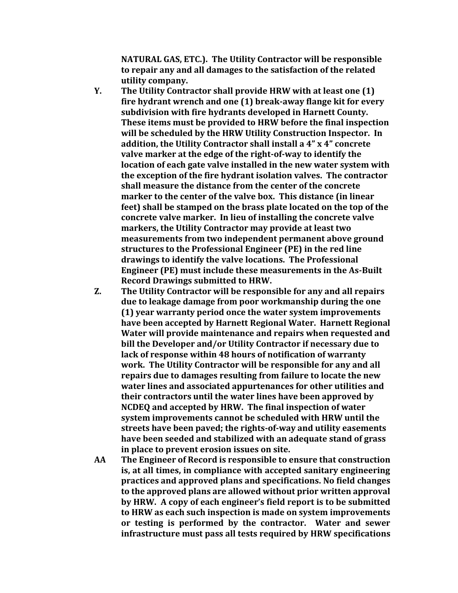**NATURAL GAS, ETC.). The Utility Contractor will be responsible to repair any and all damages to the satisfaction of the related utility company.** 

- **Y. The Utility Contractor shall provide HRW with at least one (1) fire hydrant wrench and one (1) break-away flange kit for every subdivision with fire hydrants developed in Harnett County. These items must be provided to HRW before the final inspection will be scheduled by the HRW Utility Construction Inspector. In addition, the Utility Contractor shall install a 4" x 4" concrete valve marker at the edge of the right-of-way to identify the location of each gate valve installed in the new water system with the exception of the fire hydrant isolation valves. The contractor shall measure the distance from the center of the concrete marker to the center of the valve box. This distance (in linear feet) shall be stamped on the brass plate located on the top of the concrete valve marker. In lieu of installing the concrete valve markers, the Utility Contractor may provide at least two measurements from two independent permanent above ground structures to the Professional Engineer (PE) in the red line drawings to identify the valve locations. The Professional Engineer (PE) must include these measurements in the As-Built Record Drawings submitted to HRW.**
- **Z. The Utility Contractor will be responsible for any and all repairs due to leakage damage from poor workmanship during the one (1) year warranty period once the water system improvements have been accepted by Harnett Regional Water. Harnett Regional Water will provide maintenance and repairs when requested and bill the Developer and/or Utility Contractor if necessary due to lack of response within 48 hours of notification of warranty work. The Utility Contractor will be responsible for any and all repairs due to damages resulting from failure to locate the new water lines and associated appurtenances for other utilities and their contractors until the water lines have been approved by NCDEQ and accepted by HRW. The final inspection of water system improvements cannot be scheduled with HRW until the streets have been paved; the rights-of-way and utility easements have been seeded and stabilized with an adequate stand of grass in place to prevent erosion issues on site.**
- **AA The Engineer of Record is responsible to ensure that construction is, at all times, in compliance with accepted sanitary engineering practices and approved plans and specifications. No field changes to the approved plans are allowed without prior written approval by HRW. A copy of each engineer's field report is to be submitted to HRW as each such inspection is made on system improvements or testing is performed by the contractor. Water and sewer infrastructure must pass all tests required by HRW specifications**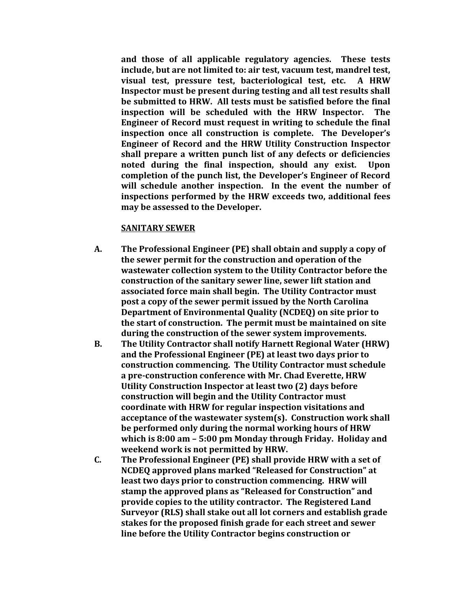**and those of all applicable regulatory agencies. These tests include, but are not limited to: air test, vacuum test, mandrel test, visual test, pressure test, bacteriological test, etc. A HRW Inspector must be present during testing and all test results shall be submitted to HRW. All tests must be satisfied before the final inspection will be scheduled with the HRW Inspector. The Engineer of Record must request in writing to schedule the final inspection once all construction is complete. The Developer's Engineer of Record and the HRW Utility Construction Inspector shall prepare a written punch list of any defects or deficiencies noted during the final inspection, should any exist. Upon completion of the punch list, the Developer's Engineer of Record will schedule another inspection. In the event the number of inspections performed by the HRW exceeds two, additional fees may be assessed to the Developer.**

## **SANITARY SEWER**

- **A. The Professional Engineer (PE) shall obtain and supply a copy of the sewer permit for the construction and operation of the wastewater collection system to the Utility Contractor before the construction of the sanitary sewer line, sewer lift station and associated force main shall begin. The Utility Contractor must post a copy of the sewer permit issued by the North Carolina Department of Environmental Quality (NCDEQ) on site prior to the start of construction. The permit must be maintained on site during the construction of the sewer system improvements.**
- **B. The Utility Contractor shall notify Harnett Regional Water (HRW) and the Professional Engineer (PE) at least two days prior to construction commencing. The Utility Contractor must schedule a pre-construction conference with Mr. Chad Everette, HRW Utility Construction Inspector at least two (2) days before construction will begin and the Utility Contractor must coordinate with HRW for regular inspection visitations and acceptance of the wastewater system(s). Construction work shall be performed only during the normal working hours of HRW which is 8:00 am – 5:00 pm Monday through Friday. Holiday and weekend work is not permitted by HRW.**
- **C. The Professional Engineer (PE) shall provide HRW with a set of NCDEQ approved plans marked "Released for Construction" at least two days prior to construction commencing. HRW will stamp the approved plans as "Released for Construction" and provide copies to the utility contractor. The Registered Land Surveyor (RLS) shall stake out all lot corners and establish grade stakes for the proposed finish grade for each street and sewer line before the Utility Contractor begins construction or**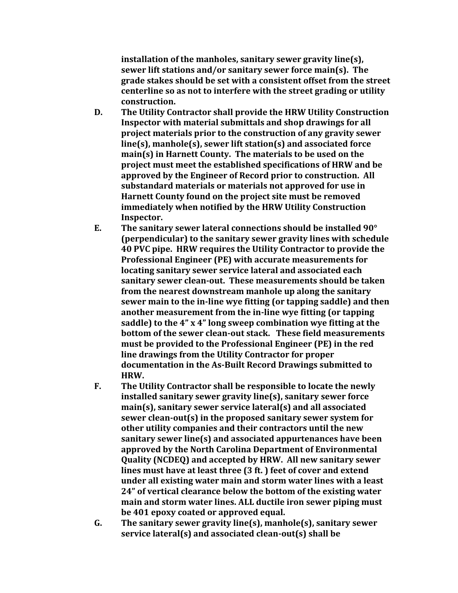**installation of the manholes, sanitary sewer gravity line(s), sewer lift stations and/or sanitary sewer force main(s). The grade stakes should be set with a consistent offset from the street centerline so as not to interfere with the street grading or utility construction.**

- **D. The Utility Contractor shall provide the HRW Utility Construction Inspector with material submittals and shop drawings for all project materials prior to the construction of any gravity sewer line(s), manhole(s), sewer lift station(s) and associated force main(s) in Harnett County. The materials to be used on the project must meet the established specifications of HRW and be approved by the Engineer of Record prior to construction. All substandard materials or materials not approved for use in Harnett County found on the project site must be removed immediately when notified by the HRW Utility Construction Inspector.**
- **E. The sanitary sewer lateral connections should be installed 90° (perpendicular) to the sanitary sewer gravity lines with schedule 40 PVC pipe. HRW requires the Utility Contractor to provide the Professional Engineer (PE) with accurate measurements for locating sanitary sewer service lateral and associated each sanitary sewer clean-out. These measurements should be taken from the nearest downstream manhole up along the sanitary sewer main to the in-line wye fitting (or tapping saddle) and then another measurement from the in-line wye fitting (or tapping saddle) to the 4" x 4" long sweep combination wye fitting at the bottom of the sewer clean-out stack. These field measurements must be provided to the Professional Engineer (PE) in the red line drawings from the Utility Contractor for proper documentation in the As-Built Record Drawings submitted to HRW.**
- **F. The Utility Contractor shall be responsible to locate the newly installed sanitary sewer gravity line(s), sanitary sewer force main(s), sanitary sewer service lateral(s) and all associated sewer clean-out(s) in the proposed sanitary sewer system for other utility companies and their contractors until the new sanitary sewer line(s) and associated appurtenances have been approved by the North Carolina Department of Environmental Quality (NCDEQ) and accepted by HRW. All new sanitary sewer lines must have at least three (3 ft. ) feet of cover and extend under all existing water main and storm water lines with a least 24" of vertical clearance below the bottom of the existing water main and storm water lines. ALL ductile iron sewer piping must be 401 epoxy coated or approved equal.**
- **G. The sanitary sewer gravity line(s), manhole(s), sanitary sewer service lateral(s) and associated clean-out(s) shall be**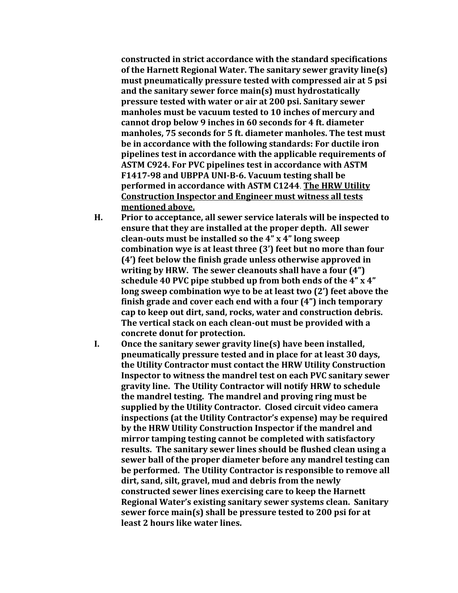**constructed in strict accordance with the standard specifications of the Harnett Regional Water. The sanitary sewer gravity line(s) must pneumatically pressure tested with compressed air at 5 psi and the sanitary sewer force main(s) must hydrostatically pressure tested with water or air at 200 psi. Sanitary sewer manholes must be vacuum tested to 10 inches of mercury and cannot drop below 9 inches in 60 seconds for 4 ft. diameter manholes, 75 seconds for 5 ft. diameter manholes. The test must be in accordance with the following standards: For ductile iron pipelines test in accordance with the applicable requirements of ASTM C924. For PVC pipelines test in accordance with ASTM F1417-98 and UBPPA UNI-B-6. Vacuum testing shall be performed in accordance with ASTM C1244**. **The HRW Utility Construction Inspector and Engineer must witness all tests mentioned above.**

- **H. Prior to acceptance, all sewer service laterals will be inspected to ensure that they are installed at the proper depth. All sewer clean-outs must be installed so the 4" x 4" long sweep combination wye is at least three (3') feet but no more than four (4') feet below the finish grade unless otherwise approved in writing by HRW. The sewer cleanouts shall have a four (4") schedule 40 PVC pipe stubbed up from both ends of the 4" x 4" long sweep combination wye to be at least two (2') feet above the finish grade and cover each end with a four (4") inch temporary cap to keep out dirt, sand, rocks, water and construction debris. The vertical stack on each clean-out must be provided with a concrete donut for protection.**
- **I. Once the sanitary sewer gravity line(s) have been installed, pneumatically pressure tested and in place for at least 30 days, the Utility Contractor must contact the HRW Utility Construction Inspector to witness the mandrel test on each PVC sanitary sewer gravity line. The Utility Contractor will notify HRW to schedule the mandrel testing. The mandrel and proving ring must be supplied by the Utility Contractor. Closed circuit video camera inspections (at the Utility Contractor's expense) may be required by the HRW Utility Construction Inspector if the mandrel and mirror tamping testing cannot be completed with satisfactory results. The sanitary sewer lines should be flushed clean using a sewer ball of the proper diameter before any mandrel testing can be performed. The Utility Contractor is responsible to remove all dirt, sand, silt, gravel, mud and debris from the newly constructed sewer lines exercising care to keep the Harnett Regional Water's existing sanitary sewer systems clean. Sanitary sewer force main(s) shall be pressure tested to 200 psi for at least 2 hours like water lines.**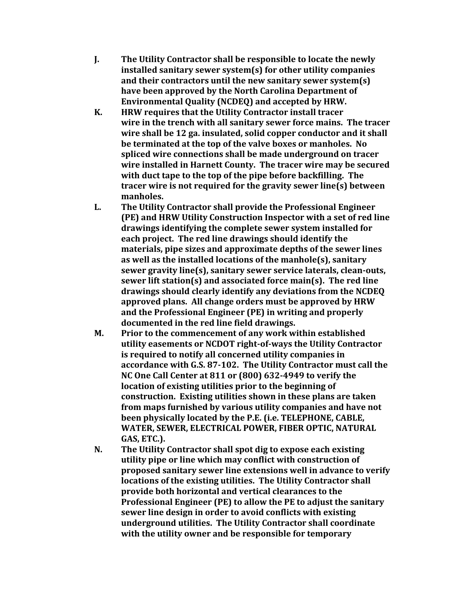- **J. The Utility Contractor shall be responsible to locate the newly installed sanitary sewer system(s) for other utility companies and their contractors until the new sanitary sewer system(s) have been approved by the North Carolina Department of Environmental Quality (NCDEQ) and accepted by HRW.**
- **K. HRW requires that the Utility Contractor install tracer wire in the trench with all sanitary sewer force mains. The tracer wire shall be 12 ga. insulated, solid copper conductor and it shall be terminated at the top of the valve boxes or manholes. No spliced wire connections shall be made underground on tracer wire installed in Harnett County. The tracer wire may be secured with duct tape to the top of the pipe before backfilling. The tracer wire is not required for the gravity sewer line(s) between manholes.**
- **L. The Utility Contractor shall provide the Professional Engineer (PE) and HRW Utility Construction Inspector with a set of red line drawings identifying the complete sewer system installed for each project. The red line drawings should identify the materials, pipe sizes and approximate depths of the sewer lines as well as the installed locations of the manhole(s), sanitary sewer gravity line(s), sanitary sewer service laterals, clean-outs, sewer lift station(s) and associated force main(s). The red line drawings should clearly identify any deviations from the NCDEQ approved plans. All change orders must be approved by HRW and the Professional Engineer (PE) in writing and properly documented in the red line field drawings.**
- **M. Prior to the commencement of any work within established utility easements or NCDOT right-of-ways the Utility Contractor is required to notify all concerned utility companies in accordance with G.S. 87-102. The Utility Contractor must call the NC One Call Center at 811 or (800) 632-4949 to verify the location of existing utilities prior to the beginning of construction. Existing utilities shown in these plans are taken from maps furnished by various utility companies and have not been physically located by the P.E. (i.e. TELEPHONE, CABLE, WATER, SEWER, ELECTRICAL POWER, FIBER OPTIC, NATURAL GAS, ETC.).**
- **N. The Utility Contractor shall spot dig to expose each existing utility pipe or line which may conflict with construction of proposed sanitary sewer line extensions well in advance to verify locations of the existing utilities. The Utility Contractor shall provide both horizontal and vertical clearances to the Professional Engineer (PE) to allow the PE to adjust the sanitary sewer line design in order to avoid conflicts with existing underground utilities. The Utility Contractor shall coordinate with the utility owner and be responsible for temporary**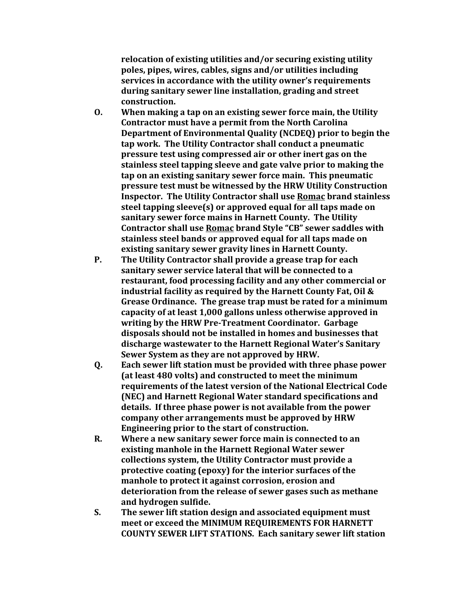**relocation of existing utilities and/or securing existing utility poles, pipes, wires, cables, signs and/or utilities including services in accordance with the utility owner's requirements during sanitary sewer line installation, grading and street construction.**

- **O. When making a tap on an existing sewer force main, the Utility Contractor must have a permit from the North Carolina Department of Environmental Quality (NCDEQ) prior to begin the tap work. The Utility Contractor shall conduct a pneumatic pressure test using compressed air or other inert gas on the stainless steel tapping sleeve and gate valve prior to making the tap on an existing sanitary sewer force main. This pneumatic pressure test must be witnessed by the HRW Utility Construction Inspector. The Utility Contractor shall use Romac brand stainless steel tapping sleeve(s) or approved equal for all taps made on sanitary sewer force mains in Harnett County. The Utility Contractor shall use Romac brand Style "CB" sewer saddles with stainless steel bands or approved equal for all taps made on existing sanitary sewer gravity lines in Harnett County.**
- **P. The Utility Contractor shall provide a grease trap for each sanitary sewer service lateral that will be connected to a restaurant, food processing facility and any other commercial or industrial facility as required by the Harnett County Fat, Oil & Grease Ordinance. The grease trap must be rated for a minimum capacity of at least 1,000 gallons unless otherwise approved in writing by the HRW Pre-Treatment Coordinator. Garbage disposals should not be installed in homes and businesses that discharge wastewater to the Harnett Regional Water's Sanitary Sewer System as they are not approved by HRW.**
- **Q. Each sewer lift station must be provided with three phase power (at least 480 volts) and constructed to meet the minimum requirements of the latest version of the National Electrical Code (NEC) and Harnett Regional Water standard specifications and details. If three phase power is not available from the power company other arrangements must be approved by HRW Engineering prior to the start of construction.**
- **R. Where a new sanitary sewer force main is connected to an existing manhole in the Harnett Regional Water sewer collections system, the Utility Contractor must provide a protective coating (epoxy) for the interior surfaces of the manhole to protect it against corrosion, erosion and deterioration from the release of sewer gases such as methane and hydrogen sulfide.**
- **S. The sewer lift station design and associated equipment must meet or exceed the MINIMUM REQUIREMENTS FOR HARNETT COUNTY SEWER LIFT STATIONS. Each sanitary sewer lift station**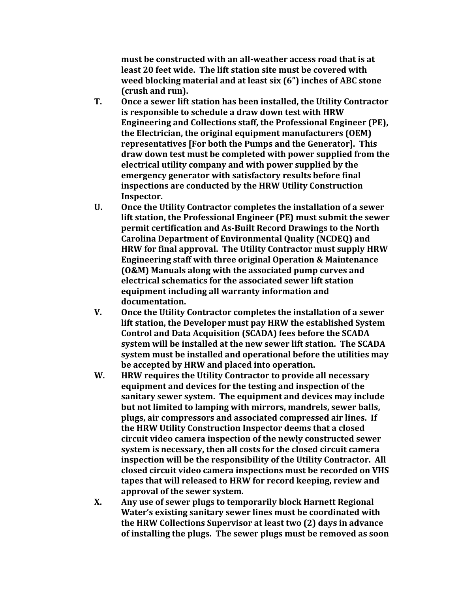**must be constructed with an all-weather access road that is at least 20 feet wide. The lift station site must be covered with weed blocking material and at least six (6") inches of ABC stone (crush and run).** 

- **T. Once a sewer lift station has been installed, the Utility Contractor is responsible to schedule a draw down test with HRW Engineering and Collections staff, the Professional Engineer (PE), the Electrician, the original equipment manufacturers (OEM) representatives [For both the Pumps and the Generator]. This draw down test must be completed with power supplied from the electrical utility company and with power supplied by the emergency generator with satisfactory results before final inspections are conducted by the HRW Utility Construction Inspector.**
- **U. Once the Utility Contractor completes the installation of a sewer lift station, the Professional Engineer (PE) must submit the sewer permit certification and As-Built Record Drawings to the North Carolina Department of Environmental Quality (NCDEQ) and HRW for final approval. The Utility Contractor must supply HRW Engineering staff with three original Operation & Maintenance (O&M) Manuals along with the associated pump curves and electrical schematics for the associated sewer lift station equipment including all warranty information and documentation.**
- **V. Once the Utility Contractor completes the installation of a sewer lift station, the Developer must pay HRW the established System Control and Data Acquisition (SCADA) fees before the SCADA system will be installed at the new sewer lift station. The SCADA system must be installed and operational before the utilities may be accepted by HRW and placed into operation.**
- **W. HRW requires the Utility Contractor to provide all necessary equipment and devices for the testing and inspection of the sanitary sewer system. The equipment and devices may include but not limited to lamping with mirrors, mandrels, sewer balls, plugs, air compressors and associated compressed air lines. If the HRW Utility Construction Inspector deems that a closed circuit video camera inspection of the newly constructed sewer system is necessary, then all costs for the closed circuit camera inspection will be the responsibility of the Utility Contractor. All closed circuit video camera inspections must be recorded on VHS tapes that will released to HRW for record keeping, review and approval of the sewer system.**
- **X. Any use of sewer plugs to temporarily block Harnett Regional Water's existing sanitary sewer lines must be coordinated with the HRW Collections Supervisor at least two (2) days in advance of installing the plugs. The sewer plugs must be removed as soon**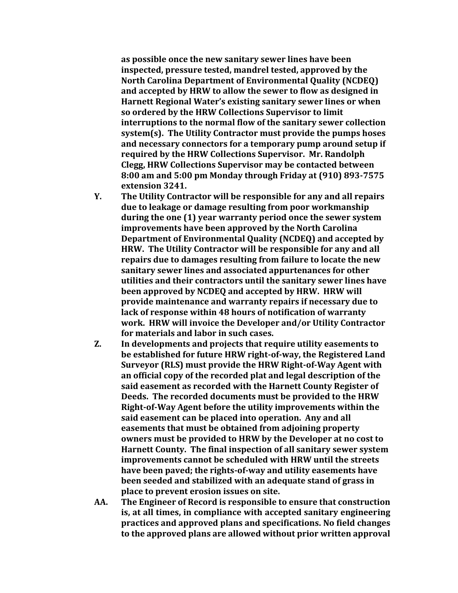**as possible once the new sanitary sewer lines have been inspected, pressure tested, mandrel tested, approved by the North Carolina Department of Environmental Quality (NCDEQ) and accepted by HRW to allow the sewer to flow as designed in Harnett Regional Water's existing sanitary sewer lines or when so ordered by the HRW Collections Supervisor to limit interruptions to the normal flow of the sanitary sewer collection system(s). The Utility Contractor must provide the pumps hoses and necessary connectors for a temporary pump around setup if required by the HRW Collections Supervisor. Mr. Randolph Clegg, HRW Collections Supervisor may be contacted between 8:00 am and 5:00 pm Monday through Friday at (910) 893-7575 extension 3241.** 

- **Y. The Utility Contractor will be responsible for any and all repairs due to leakage or damage resulting from poor workmanship during the one (1) year warranty period once the sewer system improvements have been approved by the North Carolina Department of Environmental Quality (NCDEQ) and accepted by HRW. The Utility Contractor will be responsible for any and all repairs due to damages resulting from failure to locate the new sanitary sewer lines and associated appurtenances for other utilities and their contractors until the sanitary sewer lines have been approved by NCDEQ and accepted by HRW. HRW will provide maintenance and warranty repairs if necessary due to lack of response within 48 hours of notification of warranty work. HRW will invoice the Developer and/or Utility Contractor for materials and labor in such cases.**
- **Z. In developments and projects that require utility easements to be established for future HRW right-of-way, the Registered Land Surveyor (RLS) must provide the HRW Right-of-Way Agent with an official copy of the recorded plat and legal description of the said easement as recorded with the Harnett County Register of Deeds. The recorded documents must be provided to the HRW Right-of-Way Agent before the utility improvements within the said easement can be placed into operation. Any and all easements that must be obtained from adjoining property owners must be provided to HRW by the Developer at no cost to Harnett County. The final inspection of all sanitary sewer system improvements cannot be scheduled with HRW until the streets have been paved; the rights-of-way and utility easements have been seeded and stabilized with an adequate stand of grass in place to prevent erosion issues on site.**
- **AA. The Engineer of Record is responsible to ensure that construction is, at all times, in compliance with accepted sanitary engineering practices and approved plans and specifications. No field changes to the approved plans are allowed without prior written approval**